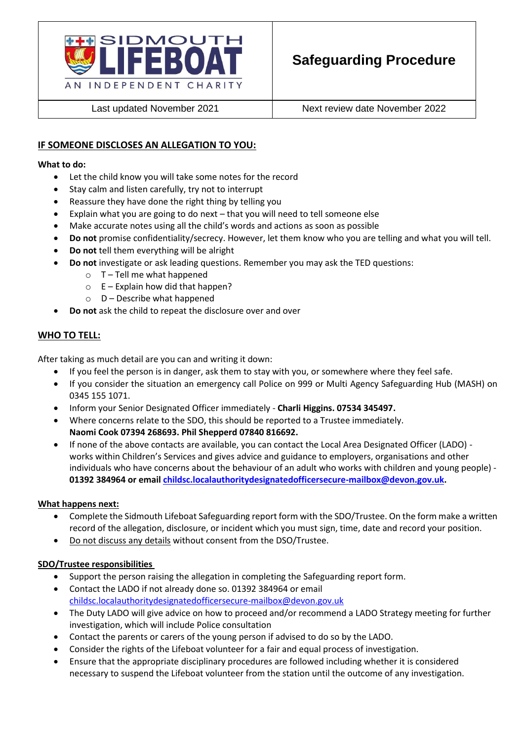

Last updated November 2021 | Next review date November 2022

## **IF SOMEONE DISCLOSES AN ALLEGATION TO YOU:**

#### **What to do:**

- Let the child know you will take some notes for the record
- Stay calm and listen carefully, try not to interrupt
- Reassure they have done the right thing by telling you
- Explain what you are going to do next that you will need to tell someone else
- Make accurate notes using all the child's words and actions as soon as possible
- **Do not** promise confidentiality/secrecy. However, let them know who you are telling and what you will tell.
- **Do not** tell them everything will be alright
- **Do not** investigate or ask leading questions. Remember you may ask the TED questions:
	- $\circ$  T Tell me what happened
	- $\circ$  E Explain how did that happen?
	- $\circ$  D Describe what happened
- **Do not** ask the child to repeat the disclosure over and over

### **WHO TO TELL:**

After taking as much detail are you can and writing it down:

- If you feel the person is in danger, ask them to stay with you, or somewhere where they feel safe.
- If you consider the situation an emergency call Police on 999 or Multi Agency Safeguarding Hub (MASH) on 0345 155 1071.
- Inform your Senior Designated Officer immediately **Charli Higgins. 07534 345497.**
- Where concerns relate to the SDO, this should be reported to a Trustee immediately. **Naomi Cook 07394 268693. Phil Shepperd 07840 816692.**
- If none of the above contacts are available, you can contact the Local Area Designated Officer (LADO) works within Children's Services and gives advice and guidance to employers, organisations and other individuals who have concerns about the behaviour of an adult who works with children and young people) - **01392 384964 or email [childsc.localauthoritydesignatedofficersecure-mailbox@devon.gov.uk.](mailto:childsc.localauthoritydesignatedofficersecure-mailbox@devon.gov.uk)**

#### **What happens next:**

- Complete the Sidmouth Lifeboat Safeguarding report form with the SDO/Trustee. On the form make a written record of the allegation, disclosure, or incident which you must sign, time, date and record your position.
- Do not discuss any details without consent from the DSO/Trustee.

#### **SDO/Trustee responsibilities**

- Support the person raising the allegation in completing the Safeguarding report form.
- Contact the LADO if not already done so. 01392 384964 or email [childsc.localauthoritydesignatedofficersecure-mailbox@devon.gov.uk](mailto:childsc.localauthoritydesignatedofficersecure-mailbox@devon.gov.uk)
- The Duty LADO will give advice on how to proceed and/or recommend a LADO Strategy meeting for further investigation, which will include Police consultation
- Contact the parents or carers of the young person if advised to do so by the LADO.
- Consider the rights of the Lifeboat volunteer for a fair and equal process of investigation.
- Ensure that the appropriate disciplinary procedures are followed including whether it is considered necessary to suspend the Lifeboat volunteer from the station until the outcome of any investigation.